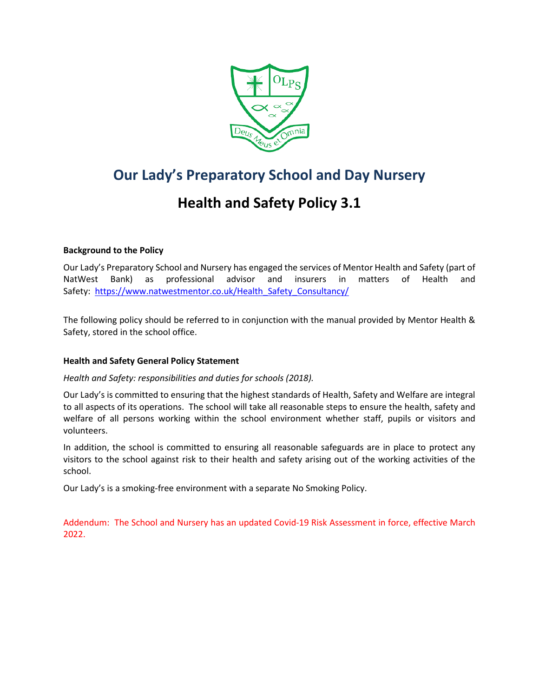

# **Our Lady's Preparatory School and Day Nursery**

# **Health and Safety Policy 3.1**

# **Background to the Policy**

Our Lady's Preparatory School and Nursery has engaged the services of Mentor Health and Safety (part of NatWest Bank) as professional advisor and insurers in matters of Health and Safety: https://www.natwestmentor.co.uk/Health Safety Consultancy/

The following policy should be referred to in conjunction with the manual provided by Mentor Health & Safety, stored in the school office.

#### **Health and Safety General Policy Statement**

*Health and Safety: responsibilities and duties for schools (2018).*

Our Lady's is committed to ensuring that the highest standards of Health, Safety and Welfare are integral to all aspects of its operations. The school will take all reasonable steps to ensure the health, safety and welfare of all persons working within the school environment whether staff, pupils or visitors and volunteers.

In addition, the school is committed to ensuring all reasonable safeguards are in place to protect any visitors to the school against risk to their health and safety arising out of the working activities of the school.

Our Lady's is a smoking-free environment with a separate No Smoking Policy.

Addendum: The School and Nursery has an updated Covid-19 Risk Assessment in force, effective March 2022.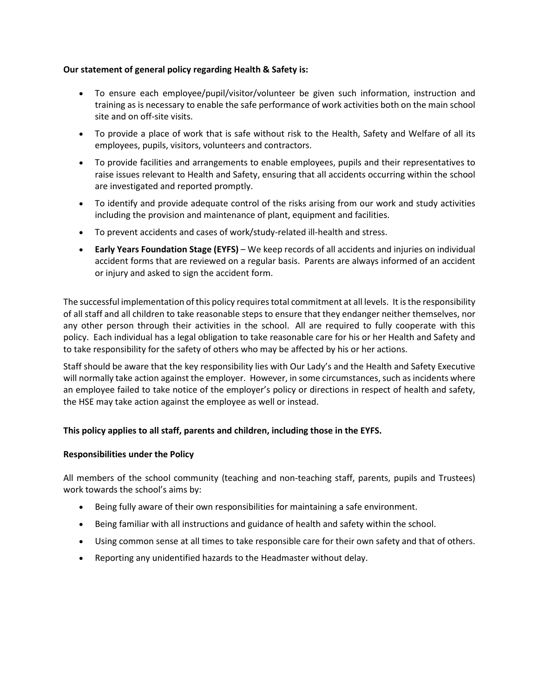## **Our statement of general policy regarding Health & Safety is:**

- To ensure each employee/pupil/visitor/volunteer be given such information, instruction and training as is necessary to enable the safe performance of work activities both on the main school site and on off-site visits.
- To provide a place of work that is safe without risk to the Health, Safety and Welfare of all its employees, pupils, visitors, volunteers and contractors.
- To provide facilities and arrangements to enable employees, pupils and their representatives to raise issues relevant to Health and Safety, ensuring that all accidents occurring within the school are investigated and reported promptly.
- To identify and provide adequate control of the risks arising from our work and study activities including the provision and maintenance of plant, equipment and facilities.
- To prevent accidents and cases of work/study-related ill-health and stress.
- **Early Years Foundation Stage (EYFS)** We keep records of all accidents and injuries on individual accident forms that are reviewed on a regular basis. Parents are always informed of an accident or injury and asked to sign the accident form.

The successful implementation of this policy requires total commitment at all levels. It is the responsibility of all staff and all children to take reasonable steps to ensure that they endanger neither themselves, nor any other person through their activities in the school. All are required to fully cooperate with this policy. Each individual has a legal obligation to take reasonable care for his or her Health and Safety and to take responsibility for the safety of others who may be affected by his or her actions.

Staff should be aware that the key responsibility lies with Our Lady's and the Health and Safety Executive will normally take action against the employer. However, in some circumstances, such as incidents where an employee failed to take notice of the employer's policy or directions in respect of health and safety, the HSE may take action against the employee as well or instead.

# **This policy applies to all staff, parents and children, including those in the EYFS.**

#### **Responsibilities under the Policy**

All members of the school community (teaching and non-teaching staff, parents, pupils and Trustees) work towards the school's aims by:

- Being fully aware of their own responsibilities for maintaining a safe environment.
- Being familiar with all instructions and guidance of health and safety within the school.
- Using common sense at all times to take responsible care for their own safety and that of others.
- Reporting any unidentified hazards to the Headmaster without delay.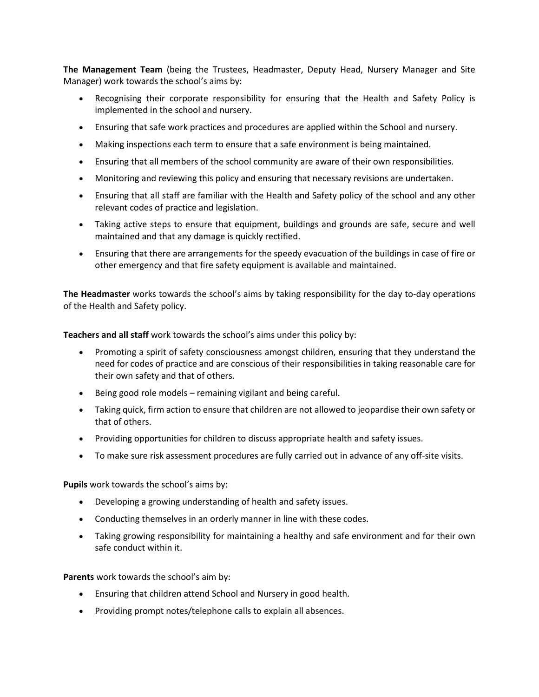**The Management Team** (being the Trustees, Headmaster, Deputy Head, Nursery Manager and Site Manager) work towards the school's aims by:

- Recognising their corporate responsibility for ensuring that the Health and Safety Policy is implemented in the school and nursery.
- Ensuring that safe work practices and procedures are applied within the School and nursery.
- Making inspections each term to ensure that a safe environment is being maintained.
- Ensuring that all members of the school community are aware of their own responsibilities.
- Monitoring and reviewing this policy and ensuring that necessary revisions are undertaken.
- Ensuring that all staff are familiar with the Health and Safety policy of the school and any other relevant codes of practice and legislation.
- Taking active steps to ensure that equipment, buildings and grounds are safe, secure and well maintained and that any damage is quickly rectified.
- Ensuring that there are arrangements for the speedy evacuation of the buildings in case of fire or other emergency and that fire safety equipment is available and maintained.

**The Headmaster** works towards the school's aims by taking responsibility for the day to-day operations of the Health and Safety policy.

**Teachers and all staff** work towards the school's aims under this policy by:

- Promoting a spirit of safety consciousness amongst children, ensuring that they understand the need for codes of practice and are conscious of their responsibilities in taking reasonable care for their own safety and that of others.
- Being good role models remaining vigilant and being careful.
- Taking quick, firm action to ensure that children are not allowed to jeopardise their own safety or that of others.
- Providing opportunities for children to discuss appropriate health and safety issues.
- To make sure risk assessment procedures are fully carried out in advance of any off-site visits.

**Pupils** work towards the school's aims by:

- Developing a growing understanding of health and safety issues.
- Conducting themselves in an orderly manner in line with these codes.
- Taking growing responsibility for maintaining a healthy and safe environment and for their own safe conduct within it.

**Parents** work towards the school's aim by:

- Ensuring that children attend School and Nursery in good health.
- Providing prompt notes/telephone calls to explain all absences.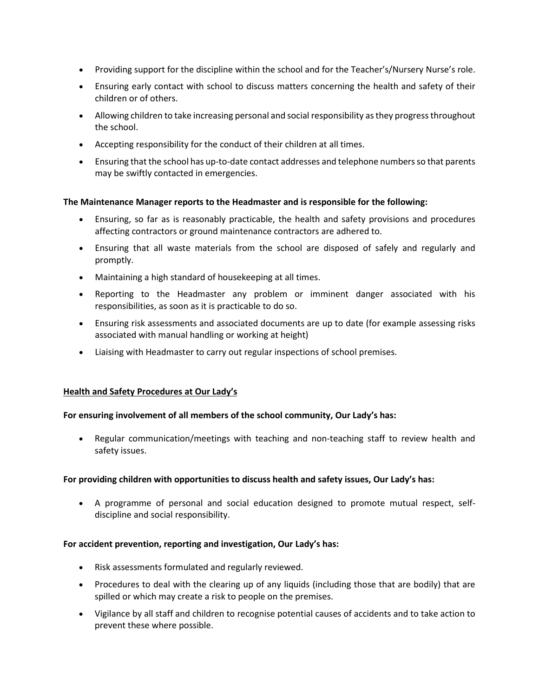- Providing support for the discipline within the school and for the Teacher's/Nursery Nurse's role.
- Ensuring early contact with school to discuss matters concerning the health and safety of their children or of others.
- Allowing children to take increasing personal and social responsibility as they progress throughout the school.
- Accepting responsibility for the conduct of their children at all times.
- Ensuring that the school has up-to-date contact addresses and telephone numbers so that parents may be swiftly contacted in emergencies.

#### **The Maintenance Manager reports to the Headmaster and is responsible for the following:**

- Ensuring, so far as is reasonably practicable, the health and safety provisions and procedures affecting contractors or ground maintenance contractors are adhered to.
- Ensuring that all waste materials from the school are disposed of safely and regularly and promptly.
- Maintaining a high standard of housekeeping at all times.
- Reporting to the Headmaster any problem or imminent danger associated with his responsibilities, as soon as it is practicable to do so.
- Ensuring risk assessments and associated documents are up to date (for example assessing risks associated with manual handling or working at height)
- Liaising with Headmaster to carry out regular inspections of school premises.

#### **Health and Safety Procedures at Our Lady's**

#### **For ensuring involvement of all members of the school community, Our Lady's has:**

• Regular communication/meetings with teaching and non-teaching staff to review health and safety issues.

#### **For providing children with opportunities to discuss health and safety issues, Our Lady's has:**

• A programme of personal and social education designed to promote mutual respect, selfdiscipline and social responsibility.

#### **For accident prevention, reporting and investigation, Our Lady's has:**

- Risk assessments formulated and regularly reviewed.
- Procedures to deal with the clearing up of any liquids (including those that are bodily) that are spilled or which may create a risk to people on the premises.
- Vigilance by all staff and children to recognise potential causes of accidents and to take action to prevent these where possible.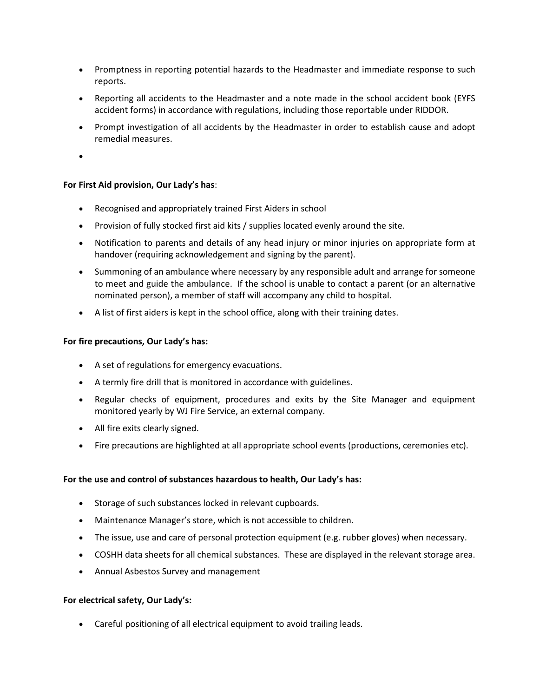- Promptness in reporting potential hazards to the Headmaster and immediate response to such reports.
- Reporting all accidents to the Headmaster and a note made in the school accident book (EYFS accident forms) in accordance with regulations, including those reportable under RIDDOR.
- Prompt investigation of all accidents by the Headmaster in order to establish cause and adopt remedial measures.
- •

# **For First Aid provision, Our Lady's has**:

- Recognised and appropriately trained First Aiders in school
- Provision of fully stocked first aid kits / supplies located evenly around the site.
- Notification to parents and details of any head injury or minor injuries on appropriate form at handover (requiring acknowledgement and signing by the parent).
- Summoning of an ambulance where necessary by any responsible adult and arrange for someone to meet and guide the ambulance. If the school is unable to contact a parent (or an alternative nominated person), a member of staff will accompany any child to hospital.
- A list of first aiders is kept in the school office, along with their training dates.

#### **For fire precautions, Our Lady's has:**

- A set of regulations for emergency evacuations.
- A termly fire drill that is monitored in accordance with guidelines.
- Regular checks of equipment, procedures and exits by the Site Manager and equipment monitored yearly by WJ Fire Service, an external company.
- All fire exits clearly signed.
- Fire precautions are highlighted at all appropriate school events (productions, ceremonies etc).

#### **For the use and control of substances hazardous to health, Our Lady's has:**

- Storage of such substances locked in relevant cupboards.
- Maintenance Manager's store, which is not accessible to children.
- The issue, use and care of personal protection equipment (e.g. rubber gloves) when necessary.
- COSHH data sheets for all chemical substances. These are displayed in the relevant storage area.
- Annual Asbestos Survey and management

#### **For electrical safety, Our Lady's:**

• Careful positioning of all electrical equipment to avoid trailing leads.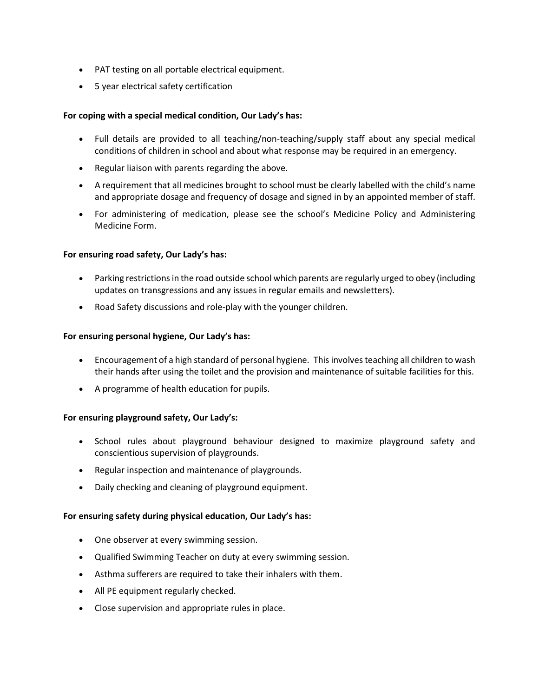- PAT testing on all portable electrical equipment.
- 5 year electrical safety certification

## **For coping with a special medical condition, Our Lady's has:**

- Full details are provided to all teaching/non-teaching/supply staff about any special medical conditions of children in school and about what response may be required in an emergency.
- Regular liaison with parents regarding the above.
- A requirement that all medicines brought to school must be clearly labelled with the child's name and appropriate dosage and frequency of dosage and signed in by an appointed member of staff.
- For administering of medication, please see the school's Medicine Policy and Administering Medicine Form.

#### **For ensuring road safety, Our Lady's has:**

- Parking restrictions in the road outside school which parents are regularly urged to obey (including updates on transgressions and any issues in regular emails and newsletters).
- Road Safety discussions and role-play with the younger children.

#### **For ensuring personal hygiene, Our Lady's has:**

- Encouragement of a high standard of personal hygiene. This involves teaching all children to wash their hands after using the toilet and the provision and maintenance of suitable facilities for this.
- A programme of health education for pupils.

#### **For ensuring playground safety, Our Lady's:**

- School rules about playground behaviour designed to maximize playground safety and conscientious supervision of playgrounds.
- Regular inspection and maintenance of playgrounds.
- Daily checking and cleaning of playground equipment.

#### **For ensuring safety during physical education, Our Lady's has:**

- One observer at every swimming session.
- Qualified Swimming Teacher on duty at every swimming session.
- Asthma sufferers are required to take their inhalers with them.
- All PE equipment regularly checked.
- Close supervision and appropriate rules in place.